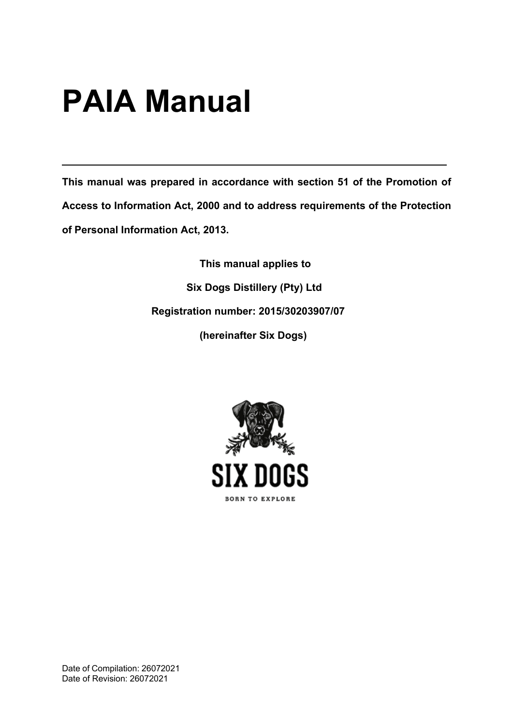# **PAIA Manual**

**This manual was prepared in accordance with section 51 of the Promotion of Access to Information Act, 2000 and to address requirements of the Protection of Personal Information Act, 2013.**

> **This manual applies to Six Dogs Distillery (Pty) Ltd Registration number: 2015/30203907/07 (hereinafter Six Dogs)**



Date of Compilation: 26072021 Date of Revision: 26072021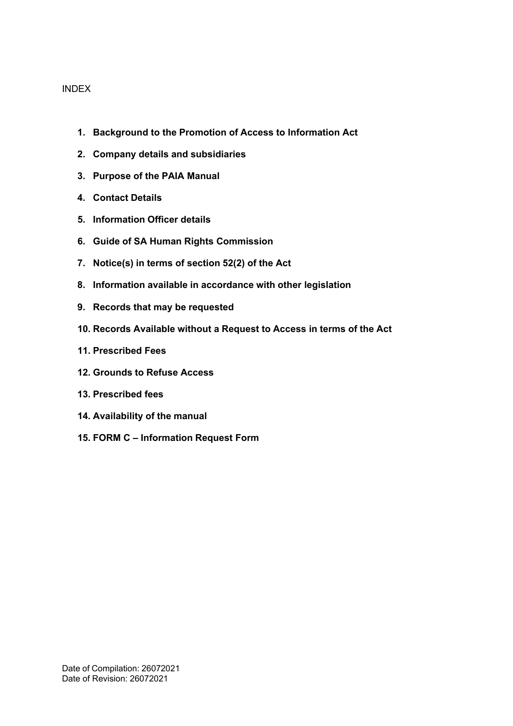#### INDEX

- **1. Background to the Promotion of Access to Information Act**
- **2. Company details and subsidiaries**
- **3. Purpose of the PAIA Manual**
- **4. Contact Details**
- **5. Information Officer details**
- **6. Guide of SA Human Rights Commission**
- **7. Notice(s) in terms of section 52(2) of the Act**
- **8. Information available in accordance with other legislation**
- **9. Records that may be requested**
- **10. Records Available without a Request to Access in terms of the Act**
- **11. Prescribed Fees**
- **12. Grounds to Refuse Access**
- **13. Prescribed fees**
- **14. Availability of the manual**
- **15. FORM C – Information Request Form**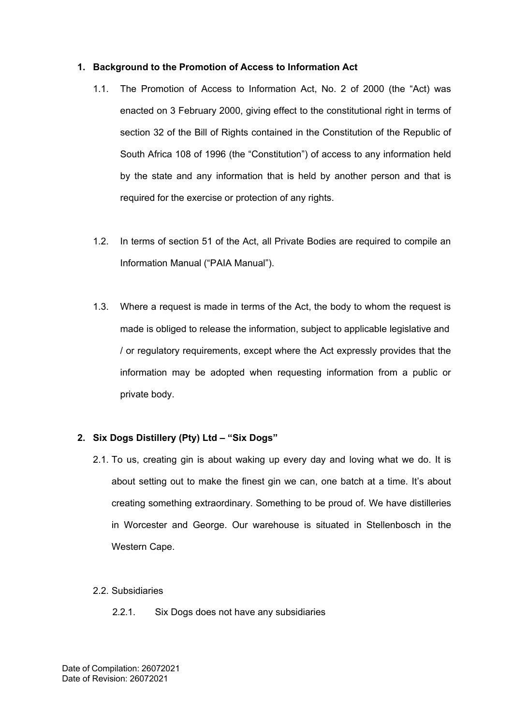#### **1. Background to the Promotion of Access to Information Act**

- 1.1. The Promotion of Access to Information Act, No. 2 of 2000 (the "Act) was enacted on 3 February 2000, giving effect to the constitutional right in terms of section 32 of the Bill of Rights contained in the Constitution of the Republic of South Africa 108 of 1996 (the "Constitution") of access to any information held by the state and any information that is held by another person and that is required for the exercise or protection of any rights.
- 1.2. In terms of section 51 of the Act, all Private Bodies are required to compile an Information Manual ("PAIA Manual").
- 1.3. Where a request is made in terms of the Act, the body to whom the request is made is obliged to release the information, subject to applicable legislative and / or regulatory requirements, except where the Act expressly provides that the information may be adopted when requesting information from a public or private body.

# **2. Six Dogs Distillery (Pty) Ltd – "Six Dogs"**

- 2.1. To us, creating gin is about waking up every day and loving what we do. It is about setting out to make the finest gin we can, one batch at a time. It's about creating something extraordinary. Something to be proud of. We have distilleries in Worcester and George. Our warehouse is situated in Stellenbosch in the Western Cape.
- 2.2. Subsidiaries
	- 2.2.1. Six Dogs does not have any subsidiaries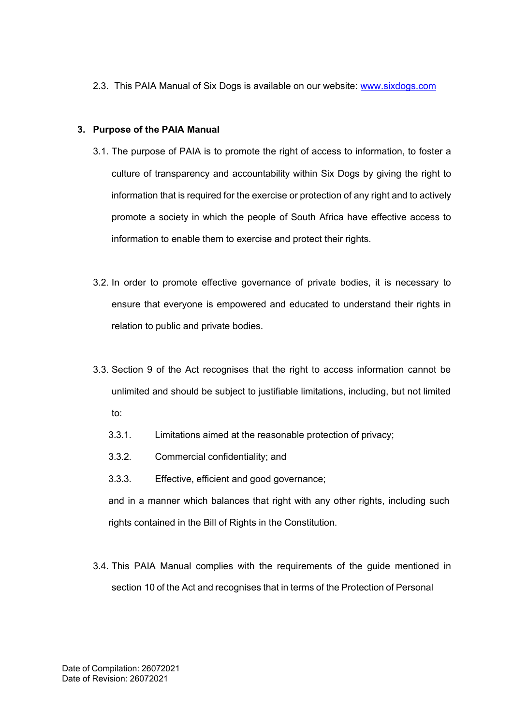2.3. This PAIA Manual of Six Dogs is available on our website: [www.sixdogs.com](http://www.sixdogs.com/)

## **3. Purpose of the PAIA Manual**

- 3.1. The purpose of PAIA is to promote the right of access to information, to foster a culture of transparency and accountability within Six Dogs by giving the right to information that is required for the exercise or protection of any right and to actively promote a society in which the people of South Africa have effective access to information to enable them to exercise and protect their rights.
- 3.2. In order to promote effective governance of private bodies, it is necessary to ensure that everyone is empowered and educated to understand their rights in relation to public and private bodies.
- 3.3. Section 9 of the Act recognises that the right to access information cannot be unlimited and should be subject to justifiable limitations, including, but not limited to:
	- 3.3.1. Limitations aimed at the reasonable protection of privacy;
	- 3.3.2. Commercial confidentiality; and
	- 3.3.3. Effective, efficient and good governance;

and in a manner which balances that right with any other rights, including such rights contained in the Bill of Rights in the Constitution.

3.4. This PAIA Manual complies with the requirements of the guide mentioned in section 10 of the Act and recognises that in terms of the Protection of Personal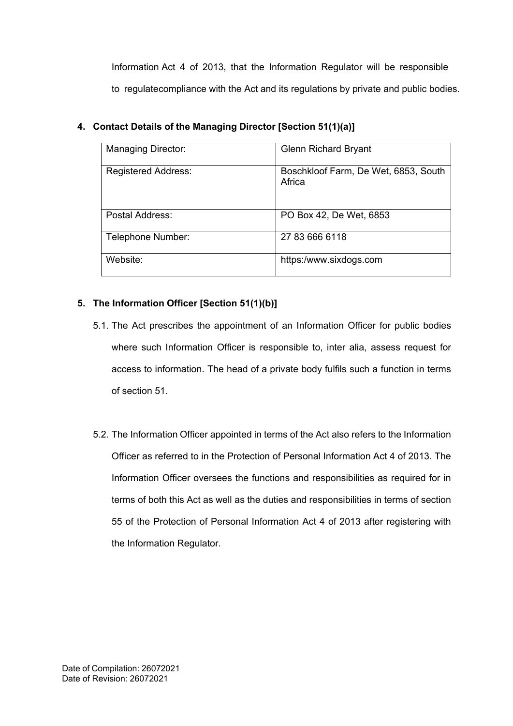Information Act 4 of 2013, that the Information Regulator will be responsible to regulatecompliance with the Act and its regulations by private and public bodies.

| <b>Managing Director:</b>  | <b>Glenn Richard Bryant</b>                    |
|----------------------------|------------------------------------------------|
| <b>Registered Address:</b> | Boschkloof Farm, De Wet, 6853, South<br>Africa |
| Postal Address:            | PO Box 42, De Wet, 6853                        |
| Telephone Number:          | 27 83 666 6118                                 |
| Website:                   | https:/www.sixdogs.com                         |

# **4. Contact Details of the Managing Director [Section 51(1)(a)]**

# **5. The Information Officer [Section 51(1)(b)]**

- 5.1. The Act prescribes the appointment of an Information Officer for public bodies where such Information Officer is responsible to, inter alia, assess request for access to information. The head of a private body fulfils such a function in terms of section 51.
- 5.2. The Information Officer appointed in terms of the Act also refers to the Information Officer as referred to in the Protection of Personal Information Act 4 of 2013. The Information Officer oversees the functions and responsibilities as required for in terms of both this Act as well as the duties and responsibilities in terms of section 55 of the Protection of Personal Information Act 4 of 2013 after registering with the Information Regulator.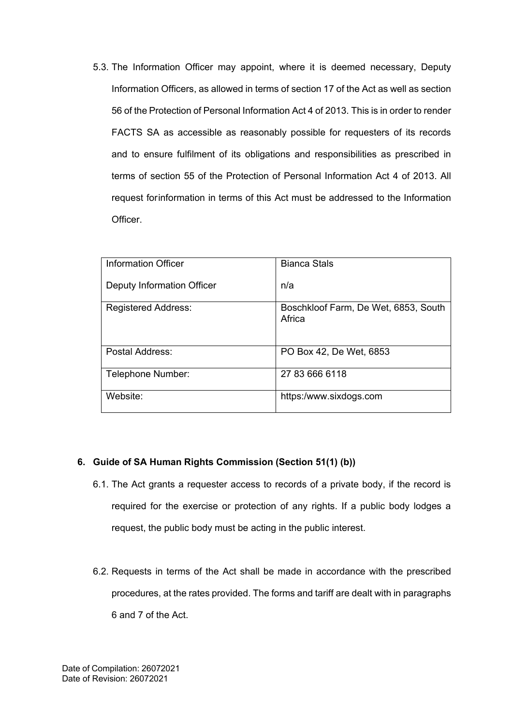5.3. The Information Officer may appoint, where it is deemed necessary, Deputy Information Officers, as allowed in terms of section 17 of the Act as well as section 56 of the Protection of Personal Information Act 4 of 2013. This is in order to render FACTS SA as accessible as reasonably possible for requesters of its records and to ensure fulfilment of its obligations and responsibilities as prescribed in terms of section 55 of the Protection of Personal Information Act 4 of 2013. All request forinformation in terms of this Act must be addressed to the Information Officer.

| <b>Information Officer</b> | <b>Bianca Stals</b>                            |
|----------------------------|------------------------------------------------|
| Deputy Information Officer | n/a                                            |
| <b>Registered Address:</b> | Boschkloof Farm, De Wet, 6853, South<br>Africa |
|                            |                                                |
|                            |                                                |
| Postal Address:            | PO Box 42, De Wet, 6853                        |
| Telephone Number:          | 27 83 666 6118                                 |
| Website:                   | https:/www.sixdogs.com                         |

#### **6. Guide of SA Human Rights Commission (Section 51(1) (b))**

- 6.1. The Act grants a requester access to records of a private body, if the record is required for the exercise or protection of any rights. If a public body lodges a request, the public body must be acting in the public interest.
- 6.2. Requests in terms of the Act shall be made in accordance with the prescribed procedures, at the rates provided. The forms and tariff are dealt with in paragraphs 6 and 7 of the Act.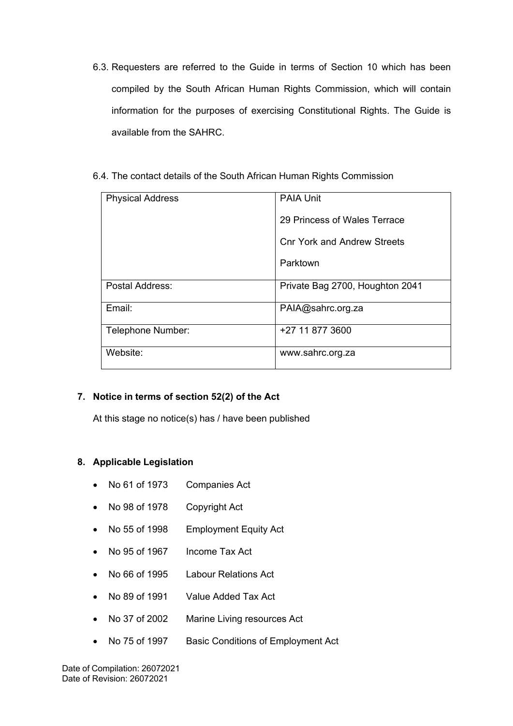- 6.3. Requesters are referred to the Guide in terms of Section 10 which has been compiled by the South African Human Rights Commission, which will contain information for the purposes of exercising Constitutional Rights. The Guide is available from the SAHRC.
- 6.4. The contact details of the South African Human Rights Commission

| <b>Physical Address</b> | <b>PAIA Unit</b>                |  |  |  |
|-------------------------|---------------------------------|--|--|--|
|                         | 29 Princess of Wales Terrace    |  |  |  |
|                         | Cnr York and Andrew Streets     |  |  |  |
|                         | Parktown                        |  |  |  |
| Postal Address:         | Private Bag 2700, Houghton 2041 |  |  |  |
| Email:                  | PAIA@sahrc.org.za               |  |  |  |
| Telephone Number:       | +27 11 877 3600                 |  |  |  |
| Website:                | www.sahrc.org.za                |  |  |  |

# **7. Notice in terms of section 52(2) of the Act**

At this stage no notice(s) has / have been published

#### **8. Applicable Legislation**

- No 61 of 1973 Companies Act
- No 98 of 1978 Copyright Act
- No 55 of 1998 Employment Equity Act
- No 95 of 1967 Income Tax Act
- No 66 of 1995 Labour Relations Act
- No 89 of 1991 Value Added Tax Act
- No 37 of 2002 Marine Living resources Act
- No 75 of 1997 Basic Conditions of Employment Act

Date of Compilation: 26072021 Date of Revision: 26072021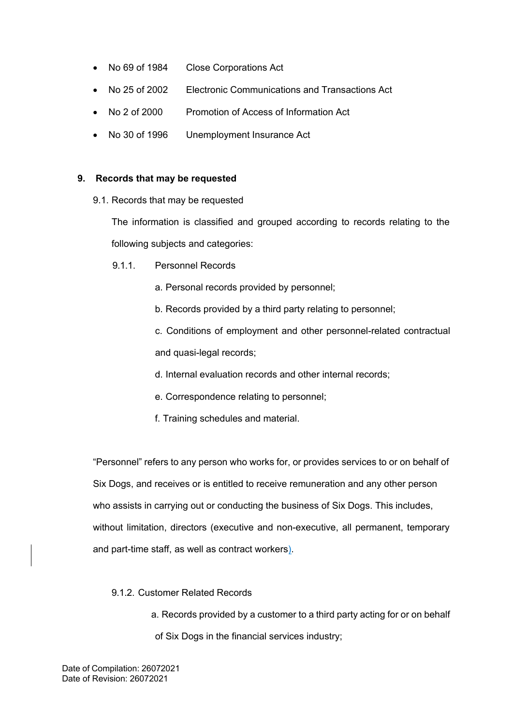- No 69 of 1984 Close Corporations Act
- No 25 of 2002 Electronic Communications and Transactions Act
- No 2 of 2000 Promotion of Access of Information Act
- No 30 of 1996 Unemployment Insurance Act

## **9. Records that may be requested**

9.1. Records that may be requested

The information is classified and grouped according to records relating to the following subjects and categories:

9.1.1. Personnel Records

a. Personal records provided by personnel;

b. Records provided by a third party relating to personnel;

c. Conditions of employment and other personnel-related contractual and quasi-legal records;

- d. Internal evaluation records and other internal records;
- e. Correspondence relating to personnel;
- f. Training schedules and material.

"Personnel" refers to any person who works for, or provides services to or on behalf of Six Dogs, and receives or is entitled to receive remuneration and any other person who assists in carrying out or conducting the business of Six Dogs. This includes, without limitation, directors (executive and non-executive, all permanent, temporary and part-time staff, as well as contract workers).

# 9.1.2. Customer Related Records

a. Records provided by a customer to a third party acting for or on behalf of Six Dogs in the financial services industry;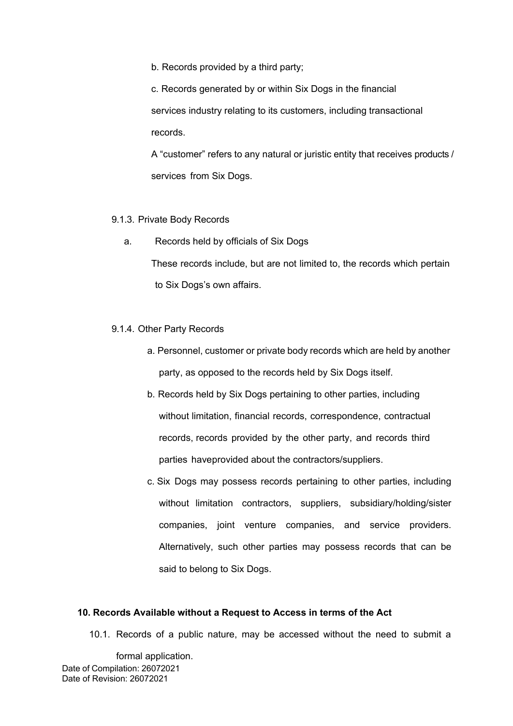b. Records provided by a third party;

c. Records generated by or within Six Dogs in the financial services industry relating to its customers, including transactional records.

A "customer" refers to any natural or juristic entity that receives products / services from Six Dogs.

#### 9.1.3. Private Body Records

a. Records held by officials of Six Dogs

These records include, but are not limited to, the records which pertain to Six Dogs's own affairs.

#### 9.1.4. Other Party Records

- a. Personnel, customer or private body records which are held by another party, as opposed to the records held by Six Dogs itself.
- b. Records held by Six Dogs pertaining to other parties, including without limitation, financial records, correspondence, contractual records, records provided by the other party, and records third parties haveprovided about the contractors/suppliers.
- c. Six Dogs may possess records pertaining to other parties, including without limitation contractors, suppliers, subsidiary/holding/sister companies, joint venture companies, and service providers. Alternatively, such other parties may possess records that can be said to belong to Six Dogs.

#### **10. Records Available without a Request to Access in terms of the Act**

10.1. Records of a public nature, may be accessed without the need to submit a

Date of Compilation: 26072021 Date of Revision: 26072021 formal application.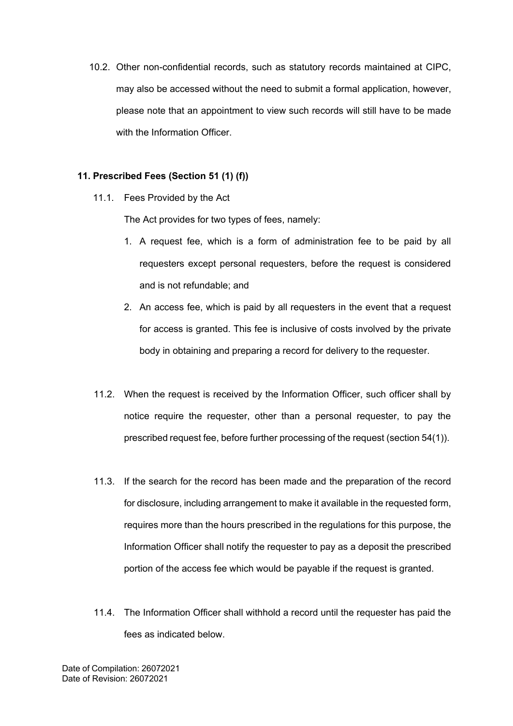10.2. Other non-confidential records, such as statutory records maintained at CIPC, may also be accessed without the need to submit a formal application, however, please note that an appointment to view such records will still have to be made with the Information Officer.

### **11. Prescribed Fees (Section 51 (1) (f))**

11.1. Fees Provided by the Act

The Act provides for two types of fees, namely:

- 1. A request fee, which is a form of administration fee to be paid by all requesters except personal requesters, before the request is considered and is not refundable; and
- 2. An access fee, which is paid by all requesters in the event that a request for access is granted. This fee is inclusive of costs involved by the private body in obtaining and preparing a record for delivery to the requester.
- 11.2. When the request is received by the Information Officer, such officer shall by notice require the requester, other than a personal requester, to pay the prescribed request fee, before further processing of the request (section 54(1)).
- 11.3. If the search for the record has been made and the preparation of the record for disclosure, including arrangement to make it available in the requested form, requires more than the hours prescribed in the regulations for this purpose, the Information Officer shall notify the requester to pay as a deposit the prescribed portion of the access fee which would be payable if the request is granted.
- 11.4. The Information Officer shall withhold a record until the requester has paid the fees as indicated below.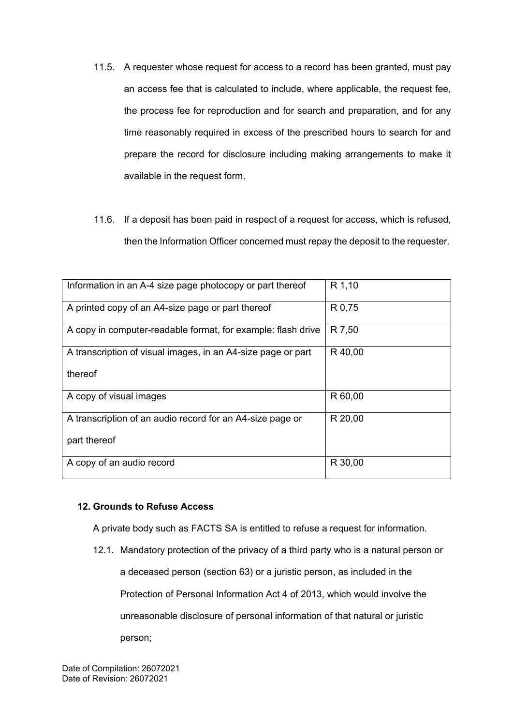- 11.5. A requester whose request for access to a record has been granted, must pay an access fee that is calculated to include, where applicable, the request fee, the process fee for reproduction and for search and preparation, and for any time reasonably required in excess of the prescribed hours to search for and prepare the record for disclosure including making arrangements to make it available in the request form.
- 11.6. If a deposit has been paid in respect of a request for access, which is refused, then the Information Officer concerned must repay the deposit to the requester.

| Information in an A-4 size page photocopy or part thereof    | R 1,10  |
|--------------------------------------------------------------|---------|
| A printed copy of an A4-size page or part thereof            | R 0,75  |
| A copy in computer-readable format, for example: flash drive | R 7,50  |
| A transcription of visual images, in an A4-size page or part | R 40,00 |
| thereof                                                      |         |
| A copy of visual images                                      | R 60,00 |
| A transcription of an audio record for an A4-size page or    | R 20,00 |
| part thereof                                                 |         |
| A copy of an audio record                                    | R 30,00 |

### **12. Grounds to Refuse Access**

A private body such as FACTS SA is entitled to refuse a request for information.

12.1. Mandatory protection of the privacy of a third party who is a natural person or a deceased person (section 63) or a juristic person, as included in the Protection of Personal Information Act 4 of 2013, which would involve the unreasonable disclosure of personal information of that natural or juristic person;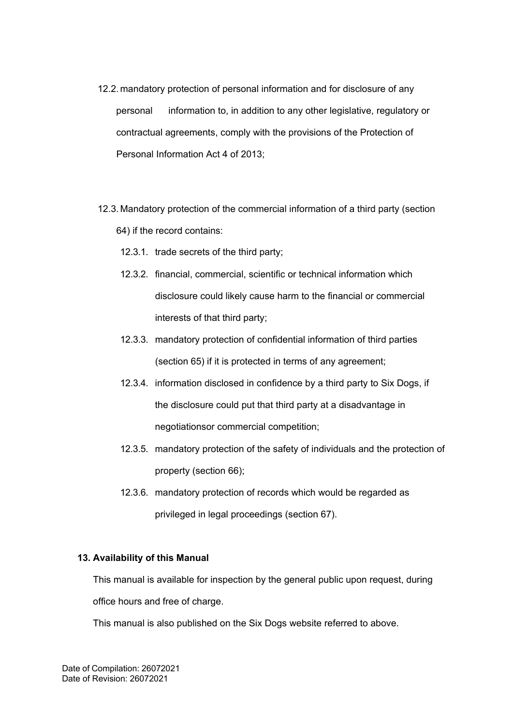- 12.2. mandatory protection of personal information and for disclosure of any personal information to, in addition to any other legislative, regulatory or contractual agreements, comply with the provisions of the Protection of Personal Information Act 4 of 2013;
- 12.3. Mandatory protection of the commercial information of a third party (section 64) if the record contains:
	- 12.3.1. trade secrets of the third party;
	- 12.3.2. financial, commercial, scientific or technical information which disclosure could likely cause harm to the financial or commercial interests of that third party;
	- 12.3.3. mandatory protection of confidential information of third parties (section 65) if it is protected in terms of any agreement;
	- 12.3.4. information disclosed in confidence by a third party to Six Dogs, if the disclosure could put that third party at a disadvantage in negotiationsor commercial competition;
	- 12.3.5. mandatory protection of the safety of individuals and the protection of property (section 66);
	- 12.3.6. mandatory protection of records which would be regarded as privileged in legal proceedings (section 67).

# **13. Availability of this Manual**

This manual is available for inspection by the general public upon request, during office hours and free of charge.

This manual is also published on the Six Dogs website referred to above.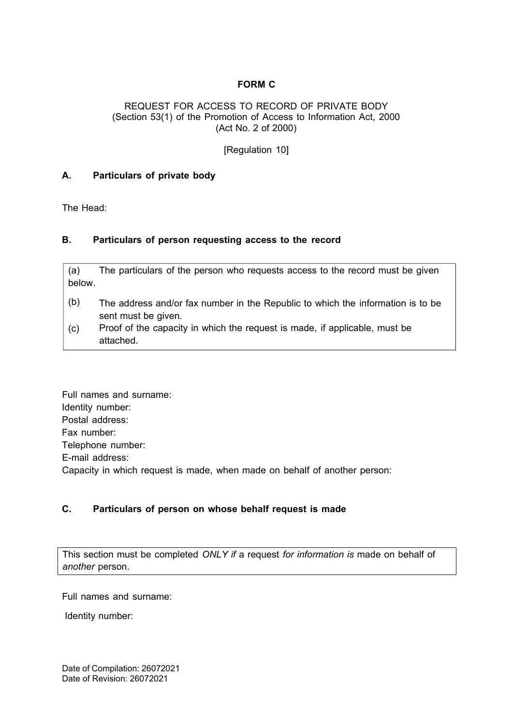# **FORM C**

#### REQUEST FOR ACCESS TO RECORD OF PRIVATE BODY (Section 53(1) of the Promotion of Access to Information Act, 2000 (Act No. 2 of 2000)

[Regulation 10]

#### **A. Particulars of private body**

The Head:

#### **B. Particulars of person requesting access to the record**

(a) The particulars of the person who requests access to the record must be given below.

- (b) The address and/or fax number in the Republic to which the information is to be sent must be given.
- (c) Proof of the capacity in which the request is made, if applicable, must be attached.

Full names and surname: Identity number: Postal address: Fax number: Telephone number: E-mail address: Capacity in which request is made, when made on behalf of another person:

## **C. Particulars of person on whose behalf request is made**

This section must be completed *ONLY if* a request *for information is* made on behalf of *another* person.

Full names and surname:

Identity number: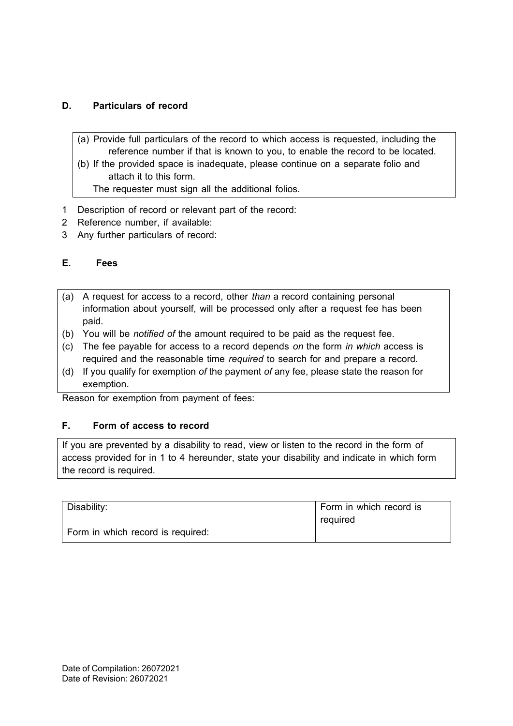# **D. Particulars of record**

- (a) Provide full particulars of the record to which access is requested, including the reference number if that is known to you, to enable the record to be located.
- (b) If the provided space is inadequate, please continue on a separate folio and attach it to this form.

The requester must sign all the additional folios.

- 1 Description of record or relevant part of the record:
- 2 Reference number, if available:
- 3 Any further particulars of record:

# **E. Fees**

- (a) A request for access to a record, other *than* a record containing personal information about yourself, will be processed only after a request fee has been paid.
- (b) You will be *notified of* the amount required to be paid as the request fee.
- (c) The fee payable for access to a record depends *on* the form *in which* access is required and the reasonable time *required* to search for and prepare a record.
- (d) If you qualify for exemption *of* the payment *of* any fee, please state the reason for exemption.

Reason for exemption from payment of fees:

# **F. Form of access to record**

If you are prevented by a disability to read, view or listen to the record in the form of access provided for in 1 to 4 hereunder, state your disability and indicate in which form the record is required.

| Disability:                       | Form in which record is |
|-----------------------------------|-------------------------|
|                                   | reguired                |
| Form in which record is required: |                         |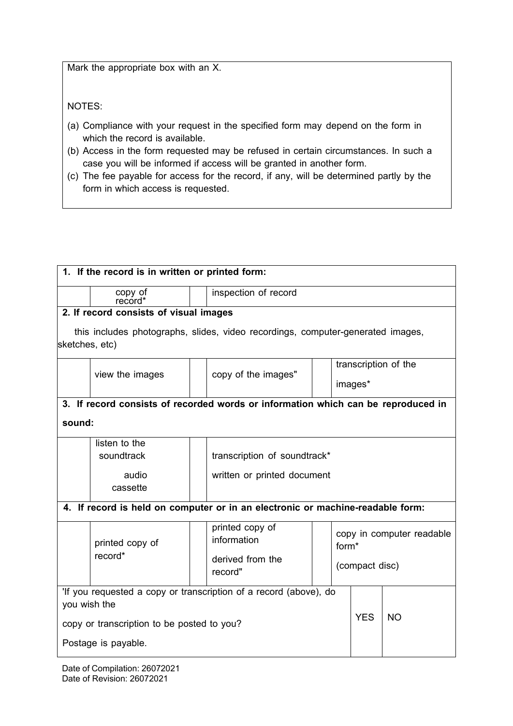Mark the appropriate box with an X.

NOTES:

- (a) Compliance with your request in the specified form may depend on the form in which the record is available.
- (b) Access in the form requested may be refused in certain circumstances. In such a case you will be informed if access will be granted in another form.
- (c) The fee payable for access for the record, if any, will be determined partly by the form in which access is requested.

| 1. If the record is in written or printed form:                                   |                     |                                                                                 |            |                                                |  |  |
|-----------------------------------------------------------------------------------|---------------------|---------------------------------------------------------------------------------|------------|------------------------------------------------|--|--|
| copy of<br>record*                                                                |                     | inspection of record                                                            |            |                                                |  |  |
| 2. If record consists of visual images                                            |                     |                                                                                 |            |                                                |  |  |
|                                                                                   |                     | this includes photographs, slides, video recordings, computer-generated images, |            |                                                |  |  |
| sketches, etc)                                                                    |                     |                                                                                 |            |                                                |  |  |
|                                                                                   |                     |                                                                                 |            | transcription of the                           |  |  |
| view the images                                                                   | copy of the images" |                                                                                 | images*    |                                                |  |  |
| 3. If record consists of recorded words or information which can be reproduced in |                     |                                                                                 |            |                                                |  |  |
| sound:                                                                            |                     |                                                                                 |            |                                                |  |  |
| listen to the                                                                     |                     |                                                                                 |            |                                                |  |  |
| soundtrack                                                                        |                     | transcription of soundtrack*                                                    |            |                                                |  |  |
| audio                                                                             |                     | written or printed document                                                     |            |                                                |  |  |
| cassette                                                                          |                     |                                                                                 |            |                                                |  |  |
| 4. If record is held on computer or in an electronic or machine-readable form:    |                     |                                                                                 |            |                                                |  |  |
|                                                                                   |                     | printed copy of                                                                 |            |                                                |  |  |
| printed copy of                                                                   |                     | information                                                                     |            | copy in computer readable<br>form <sup>*</sup> |  |  |
| record*                                                                           |                     | derived from the                                                                |            |                                                |  |  |
|                                                                                   |                     | record"                                                                         |            | (compact disc)                                 |  |  |
| 'If you requested a copy or transcription of a record (above), do                 |                     |                                                                                 |            |                                                |  |  |
| you wish the                                                                      |                     |                                                                                 |            |                                                |  |  |
| copy or transcription to be posted to you?                                        |                     |                                                                                 | <b>YES</b> | <b>NO</b>                                      |  |  |
| Postage is payable.                                                               |                     |                                                                                 |            |                                                |  |  |